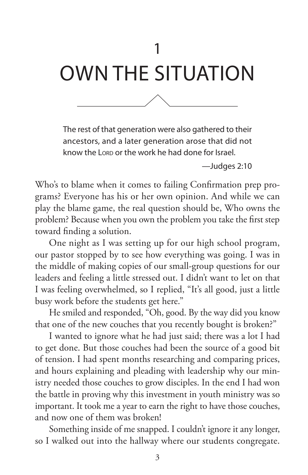# 1 OWN THE SITUATION

The rest of that generation were also gathered to their ancestors, and a later generation arose that did not know the Lorp or the work he had done for Israel.

—Judges 2:10

Who's to blame when it comes to failing Confirmation prep programs? Everyone has his or her own opinion. And while we can play the blame game, the real question should be, Who owns the problem? Because when you own the problem you take the first step toward finding a solution.

One night as I was setting up for our high school program, our pastor stopped by to see how everything was going. I was in the middle of making copies of our small-group questions for our leaders and feeling a little stressed out. I didn't want to let on that I was feeling overwhelmed, so I replied, "It's all good, just a little busy work before the students get here."

He smiled and responded, "Oh, good. By the way did you know that one of the new couches that you recently bought is broken?"

I wanted to ignore what he had just said; there was a lot I had to get done. But those couches had been the source of a good bit of tension. I had spent months researching and comparing prices, and hours explaining and pleading with leadership why our ministry needed those couches to grow disciples. In the end I had won the battle in proving why this investment in youth ministry was so important. It took me a year to earn the right to have those couches, and now one of them was broken!

Something inside of me snapped. I couldn't ignore it any longer, so I walked out into the hallway where our students congregate.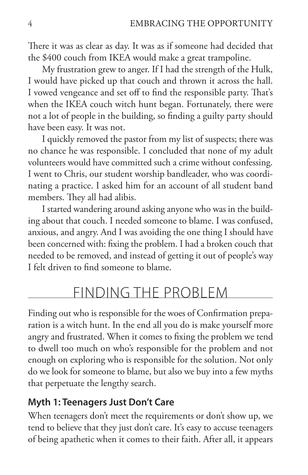There it was as clear as day. It was as if someone had decided that the \$400 couch from IKEA would make a great trampoline.

My frustration grew to anger. If I had the strength of the Hulk, I would have picked up that couch and thrown it across the hall. I vowed vengeance and set off to find the responsible party. That's when the IKEA couch witch hunt began. Fortunately, there were not a lot of people in the building, so finding a guilty party should have been easy. It was not.

I quickly removed the pastor from my list of suspects; there was no chance he was responsible. I concluded that none of my adult volunteers would have committed such a crime without confessing. I went to Chris, our student worship bandleader, who was coordinating a practice. I asked him for an account of all student band members. They all had alibis.

I started wandering around asking anyone who was in the building about that couch. I needed someone to blame. I was confused, anxious, and angry. And I was avoiding the one thing I should have been concerned with: fixing the problem. I had a broken couch that needed to be removed, and instead of getting it out of people's way I felt driven to find someone to blame.

# FINDING THE PROBLEM

Finding out who is responsible for the woes of Confirmation preparation is a witch hunt. In the end all you do is make yourself more angry and frustrated. When it comes to fixing the problem we tend to dwell too much on who's responsible for the problem and not enough on exploring who is responsible for the solution. Not only do we look for someone to blame, but also we buy into a few myths that perpetuate the lengthy search.

# **Myth 1: Teenagers Just Don't Care**

When teenagers don't meet the requirements or don't show up, we tend to believe that they just don't care. It's easy to accuse teenagers of being apathetic when it comes to their faith. After all, it appears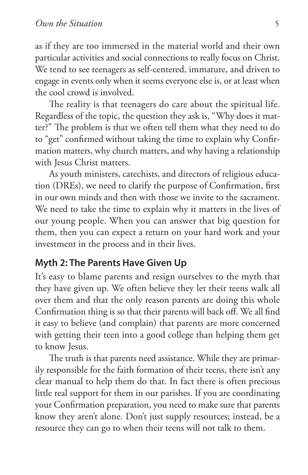as if they are too immersed in the material world and their own particular activities and social connections to really focus on Christ. We tend to see teenagers as self-centered, immature, and driven to engage in events only when it seems everyone else is, or at least when the cool crowd is involved.

The reality is that teenagers do care about the spiritual life. Regardless of the topic, the question they ask is, "Why does it matter?" The problem is that we often tell them what they need to do to "get" confirmed without taking the time to explain why Confirmation matters, why church matters, and why having a relationship with Jesus Christ matters.

As youth ministers, catechists, and directors of religious education (DREs), we need to clarify the purpose of Confirmation, first in our own minds and then with those we invite to the sacrament. We need to take the time to explain why it matters in the lives of our young people. When you can answer that big question for them, then you can expect a return on your hard work and your investment in the process and in their lives.

#### **Myth 2: The Parents Have Given Up**

It's easy to blame parents and resign ourselves to the myth that they have given up. We often believe they let their teens walk all over them and that the only reason parents are doing this whole Confirmation thing is so that their parents will back off. We all find it easy to believe (and complain) that parents are more concerned with getting their teen into a good college than helping them get to know Jesus.

The truth is that parents need assistance. While they are primarily responsible for the faith formation of their teens, there isn't any clear manual to help them do that. In fact there is often precious little real support for them in our parishes. If you are coordinating your Confirmation preparation, you need to make sure that parents know they aren't alone. Don't just supply resources; instead, be a resource they can go to when their teens will not talk to them.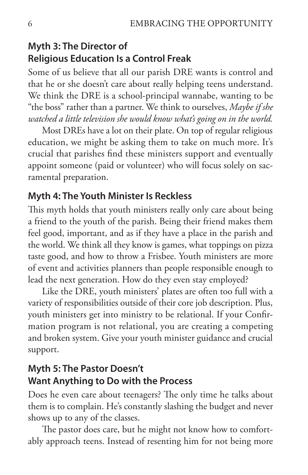## **Myth 3: The Director of Religious Education Is a Control Freak**

Some of us believe that all our parish DRE wants is control and that he or she doesn't care about really helping teens understand. We think the DRE is a school-principal wannabe, wanting to be "the boss" rather than a partner. We think to ourselves, *Maybe if she watched a little television she would know what's going on in the world.*

Most DREs have a lot on their plate. On top of regular religious education, we might be asking them to take on much more. It's crucial that parishes find these ministers support and eventually appoint someone (paid or volunteer) who will focus solely on sacramental preparation.

### **Myth 4: The Youth Minister Is Reckless**

This myth holds that youth ministers really only care about being a friend to the youth of the parish. Being their friend makes them feel good, important, and as if they have a place in the parish and the world. We think all they know is games, what toppings on pizza taste good, and how to throw a Frisbee. Youth ministers are more of event and activities planners than people responsible enough to lead the next generation. How do they even stay employed?

Like the DRE, youth ministers' plates are often too full with a variety of responsibilities outside of their core job description. Plus, youth ministers get into ministry to be relational. If your Confirmation program is not relational, you are creating a competing and broken system. Give your youth minister guidance and crucial support.

#### **Myth 5: The Pastor Doesn't Want Anything to Do with the Process**

Does he even care about teenagers? The only time he talks about them is to complain. He's constantly slashing the budget and never shows up to any of the classes.

The pastor does care, but he might not know how to comfortably approach teens. Instead of resenting him for not being more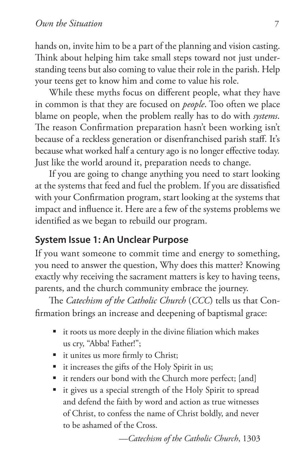hands on, invite him to be a part of the planning and vision casting. Think about helping him take small steps toward not just understanding teens but also coming to value their role in the parish. Help your teens get to know him and come to value his role.

While these myths focus on different people, what they have in common is that they are focused on *people*. Too often we place blame on people, when the problem really has to do with *systems*. The reason Confirmation preparation hasn't been working isn't because of a reckless generation or disenfranchised parish staff. It's because what worked half a century ago is no longer effective today. Just like the world around it, preparation needs to change.

If you are going to change anything you need to start looking at the systems that feed and fuel the problem. If you are dissatisfied with your Confirmation program, start looking at the systems that impact and influence it. Here are a few of the systems problems we identified as we began to rebuild our program.

#### **System Issue 1: An Unclear Purpose**

If you want someone to commit time and energy to something, you need to answer the question, Why does this matter? Knowing exactly why receiving the sacrament matters is key to having teens, parents, and the church community embrace the journey.

The *Catechism of the Catholic Church* (*CCC*) tells us that Confirmation brings an increase and deepening of baptismal grace:

- it roots us more deeply in the divine filiation which makes us cry, "Abba! Father!";
- it unites us more firmly to Christ;
- it increases the gifts of the Holy Spirit in us;
- it renders our bond with the Church more perfect; [and]
- it gives us a special strength of the Holy Spirit to spread and defend the faith by word and action as true witnesses of Christ, to confess the name of Christ boldly, and never to be ashamed of the Cross.

—*Catechism of the Catholic Church*, 1303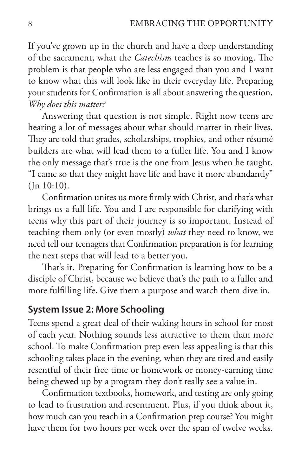If you've grown up in the church and have a deep understanding of the sacrament, what the *Catechism* teaches is so moving. The problem is that people who are less engaged than you and I want to know what this will look like in their everyday life. Preparing your students for Confirmation is all about answering the question, *Why does this matter?*

Answering that question is not simple. Right now teens are hearing a lot of messages about what should matter in their lives. They are told that grades, scholarships, trophies, and other résumé builders are what will lead them to a fuller life. You and I know the only message that's true is the one from Jesus when he taught, "I came so that they might have life and have it more abundantly"  $(In 10:10).$ 

Confirmation unites us more firmly with Christ, and that's what brings us a full life. You and I are responsible for clarifying with teens why this part of their journey is so important. Instead of teaching them only (or even mostly) *what* they need to know, we need tell our teenagers that Confirmation preparation is for learning the next steps that will lead to a better you.

That's it. Preparing for Confirmation is learning how to be a disciple of Christ, because we believe that's the path to a fuller and more fulfilling life. Give them a purpose and watch them dive in.

#### **System Issue 2: More Schooling**

Teens spend a great deal of their waking hours in school for most of each year. Nothing sounds less attractive to them than more school. To make Confirmation prep even less appealing is that this schooling takes place in the evening, when they are tired and easily resentful of their free time or homework or money-earning time being chewed up by a program they don't really see a value in.

Confirmation textbooks, homework, and testing are only going to lead to frustration and resentment. Plus, if you think about it, how much can you teach in a Confirmation prep course? You might have them for two hours per week over the span of twelve weeks.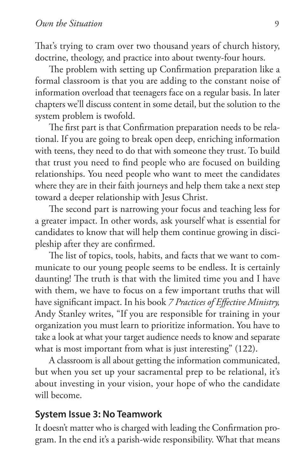That's trying to cram over two thousand years of church history, doctrine, theology, and practice into about twenty-four hours.

The problem with setting up Confirmation preparation like a formal classroom is that you are adding to the constant noise of information overload that teenagers face on a regular basis. In later chapters we'll discuss content in some detail, but the solution to the system problem is twofold.

The first part is that Confirmation preparation needs to be relational. If you are going to break open deep, enriching information with teens, they need to do that with someone they trust. To build that trust you need to find people who are focused on building relationships. You need people who want to meet the candidates where they are in their faith journeys and help them take a next step toward a deeper relationship with Jesus Christ.

The second part is narrowing your focus and teaching less for a greater impact. In other words, ask yourself what is essential for candidates to know that will help them continue growing in discipleship after they are confirmed.

The list of topics, tools, habits, and facts that we want to communicate to our young people seems to be endless. It is certainly daunting! The truth is that with the limited time you and I have with them, we have to focus on a few important truths that will have significant impact. In his book *7 Practices of Effective Ministry,* Andy Stanley writes, "If you are responsible for training in your organization you must learn to prioritize information. You have to take a look at what your target audience needs to know and separate what is most important from what is just interesting" (122).

A classroom is all about getting the information communicated, but when you set up your sacramental prep to be relational, it's about investing in your vision, your hope of who the candidate will become.

#### **System Issue 3: No Teamwork**

It doesn't matter who is charged with leading the Confirmation program. In the end it's a parish-wide responsibility. What that means